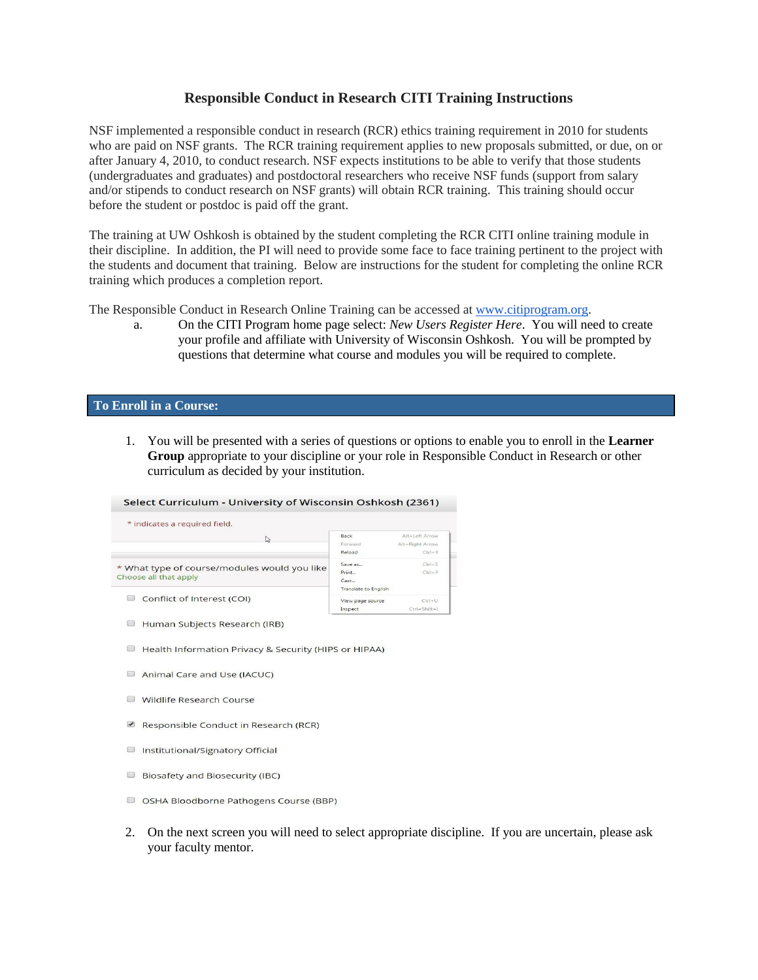## **Responsible Conduct in Research CITI Training Instructions**

NSF implemented a responsible conduct in research (RCR) ethics training requirement in 2010 for students who are paid on NSF grants. The RCR training requirement applies to new proposals submitted, or due, on or after January 4, 2010, to conduct research. NSF expects institutions to be able to verify that those students (undergraduates and graduates) and postdoctoral researchers who receive NSF funds (support from salary and/or stipends to conduct research on NSF grants) will obtain RCR training. This training should occur before the student or postdoc is paid off the grant.

The training at UW Oshkosh is obtained by the student completing the RCR CITI online training module in their discipline. In addition, the PI will need to provide some face to face training pertinent to the project with the students and document that training. Below are instructions for the student for completing the online RCR training which produces a completion report.

The Responsible Conduct in Research Online Training can be accessed at [www.citiprogram.org.](http://www.citiprogram.org/)

a. On the CITI Program home page select: *New Users Register Here*. You will need to create your profile and affiliate with University of Wisconsin Oshkosh. You will be prompted by questions that determine what course and modules you will be required to complete.

## **To Enroll in a Course:**

1. You will be presented with a series of questions or options to enable you to enroll in the **Learner Group** appropriate to your discipline or your role in Responsible Conduct in Research or other curriculum as decided by your institution.

## Select Curriculum - University of Wisconsin Oshkosh (2361)

| ど                                                                     | Back<br>Forward      | Alt+Left Arrow<br>Alt+Right Arrow |
|-----------------------------------------------------------------------|----------------------|-----------------------------------|
|                                                                       | Reload               | $Ctrl + R$                        |
| * What type of course/modules would you like<br>Choose all that apply | Save as              | $Ctrl + S$                        |
|                                                                       | Print                | $Cr1 + P$                         |
|                                                                       | Cast                 |                                   |
| Conflict of Interest (COI)                                            | Translate to English |                                   |
|                                                                       | View page source     | $Ctrl + U$                        |
|                                                                       | Inspect              | Ctrl+Shift+I                      |

- Human Subjects Research (IRB)
- Health Information Privacy & Security (HIPS or HIPAA)
- Animal Care and Use (IACUC)
- Wildlife Research Course
- Responsible Conduct in Research (RCR)
- Institutional/Signatory Official
- □ Biosafety and Biosecurity (IBC)
- O OSHA Bloodborne Pathogens Course (BBP)
- 2. On the next screen you will need to select appropriate discipline. If you are uncertain, please ask your faculty mentor.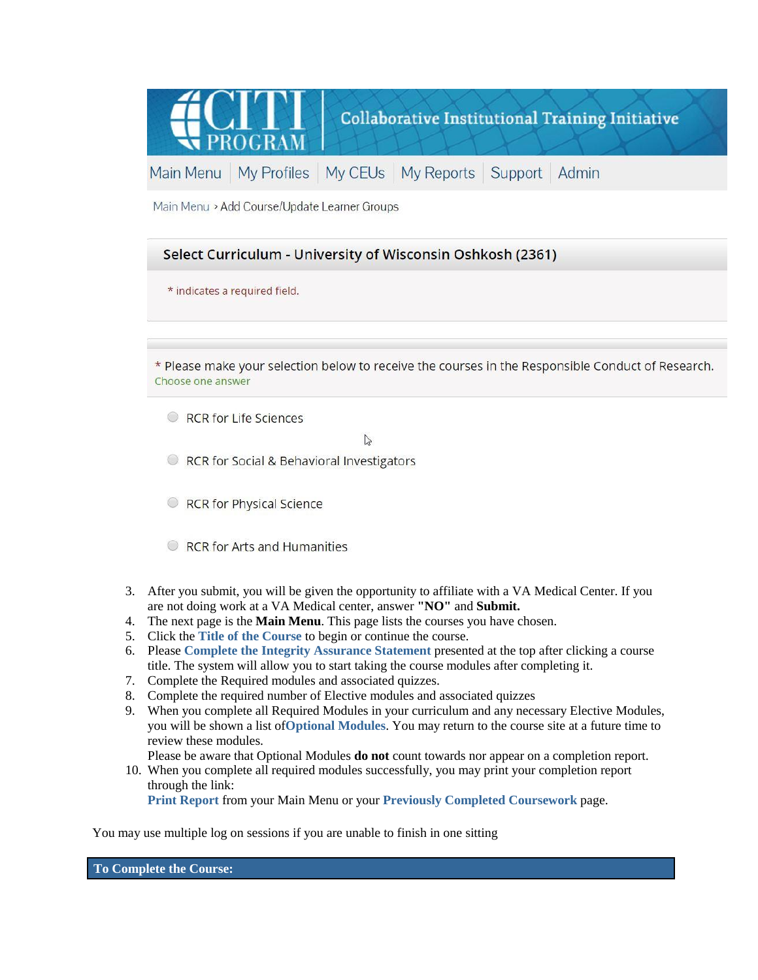

Main Menu > Add Course/Update Learner Groups



\* Please make your selection below to receive the courses in the Responsible Conduct of Research. Choose one answer

RCR for Life Sciences

 $\mathbb{Z}$ 

RCR for Social & Behavioral Investigators

- RCR for Physical Science
- $\circ$  RCR for Arts and Humanities
- 3. After you submit, you will be given the opportunity to affiliate with a VA Medical Center. If you are not doing work at a VA Medical center, answer **"NO"** and **Submit.**
- 4. The next page is the **Main Menu**. This page lists the courses you have chosen.
- 5. Click the **Title of the Course** to begin or continue the course.
- 6. Please **Complete the Integrity Assurance Statement** presented at the top after clicking a course title. The system will allow you to start taking the course modules after completing it.
- 7. Complete the Required modules and associated quizzes.
- 8. Complete the required number of Elective modules and associated quizzes
- 9. When you complete all Required Modules in your curriculum and any necessary Elective Modules, you will be shown a list of**Optional Modules**. You may return to the course site at a future time to review these modules.
- Please be aware that Optional Modules **do not** count towards nor appear on a completion report. 10. When you complete all required modules successfully, you may print your completion report through the link:

**Print Report** from your Main Menu or your **Previously Completed Coursework** page.

You may use multiple log on sessions if you are unable to finish in one sitting

**To Complete the Course:**